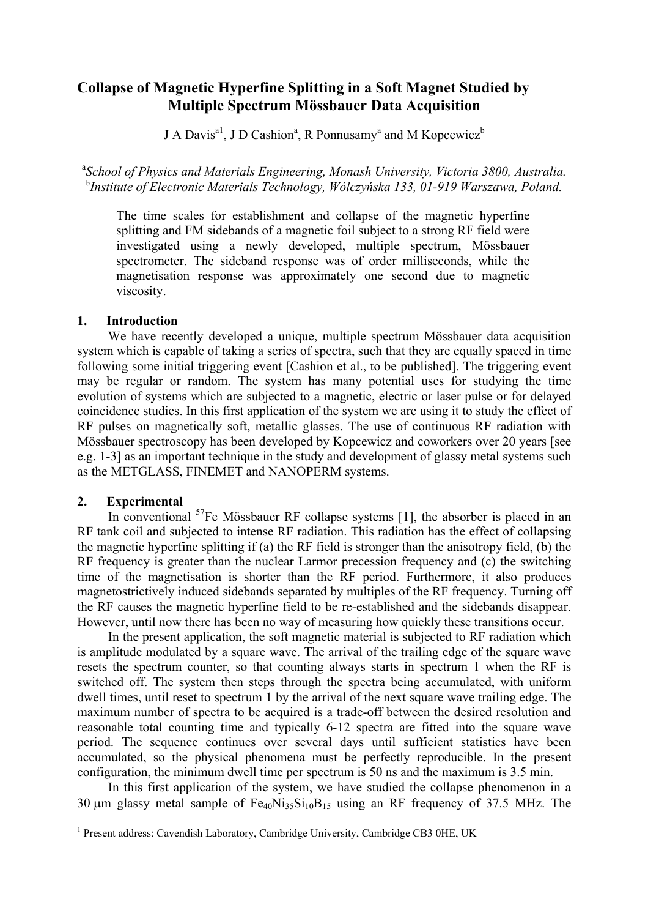# **Collapse of Magnetic Hyperfine Splitting in a Soft Magnet Studied by Multiple Spectrum Mössbauer Data Acquisition**

J A Davis<sup>a1</sup>, J D Cashion<sup>a</sup>, R Ponnusamy<sup>a</sup> and M Kopcewicz<sup>b</sup>

<sup>a</sup> School of Physics and Materials Engineering, Monash University, Victoria 3800, Australia. b *Institute of Electronic Materials Technology, Wólczyńska 133, 01-919 Warszawa, Poland.* 

The time scales for establishment and collapse of the magnetic hyperfine splitting and FM sidebands of a magnetic foil subject to a strong RF field were investigated using a newly developed, multiple spectrum, Mössbauer spectrometer. The sideband response was of order milliseconds, while the magnetisation response was approximately one second due to magnetic viscosity.

# **1. Introduction**

 We have recently developed a unique, multiple spectrum Mössbauer data acquisition system which is capable of taking a series of spectra, such that they are equally spaced in time following some initial triggering event [Cashion et al., to be published]. The triggering event may be regular or random. The system has many potential uses for studying the time evolution of systems which are subjected to a magnetic, electric or laser pulse or for delayed coincidence studies. In this first application of the system we are using it to study the effect of RF pulses on magnetically soft, metallic glasses. The use of continuous RF radiation with Mössbauer spectroscopy has been developed by Kopcewicz and coworkers over 20 years [see e.g. 1-3] as an important technique in the study and development of glassy metal systems such as the METGLASS, FINEMET and NANOPERM systems.

# **2. Experimental**

In conventional  ${}^{57}Fe$  Mössbauer RF collapse systems [1], the absorber is placed in an RF tank coil and subjected to intense RF radiation. This radiation has the effect of collapsing the magnetic hyperfine splitting if (a) the RF field is stronger than the anisotropy field, (b) the RF frequency is greater than the nuclear Larmor precession frequency and (c) the switching time of the magnetisation is shorter than the RF period. Furthermore, it also produces magnetostrictively induced sidebands separated by multiples of the RF frequency. Turning off the RF causes the magnetic hyperfine field to be re-established and the sidebands disappear. However, until now there has been no way of measuring how quickly these transitions occur.

 In the present application, the soft magnetic material is subjected to RF radiation which is amplitude modulated by a square wave. The arrival of the trailing edge of the square wave resets the spectrum counter, so that counting always starts in spectrum 1 when the RF is switched off. The system then steps through the spectra being accumulated, with uniform dwell times, until reset to spectrum 1 by the arrival of the next square wave trailing edge. The maximum number of spectra to be acquired is a trade-off between the desired resolution and reasonable total counting time and typically 6-12 spectra are fitted into the square wave period. The sequence continues over several days until sufficient statistics have been accumulated, so the physical phenomena must be perfectly reproducible. In the present configuration, the minimum dwell time per spectrum is 50 ns and the maximum is 3.5 min.

 In this first application of the system, we have studied the collapse phenomenon in a 30  $\mu$ m glassy metal sample of Fe<sub>40</sub>Ni<sub>35</sub>Si<sub>10</sub>B<sub>15</sub> using an RF frequency of 37.5 MHz. The

<span id="page-0-0"></span><sup>&</sup>lt;sup>1</sup> Present address: Cavendish Laboratory, Cambridge University, Cambridge CB3 0HE, UK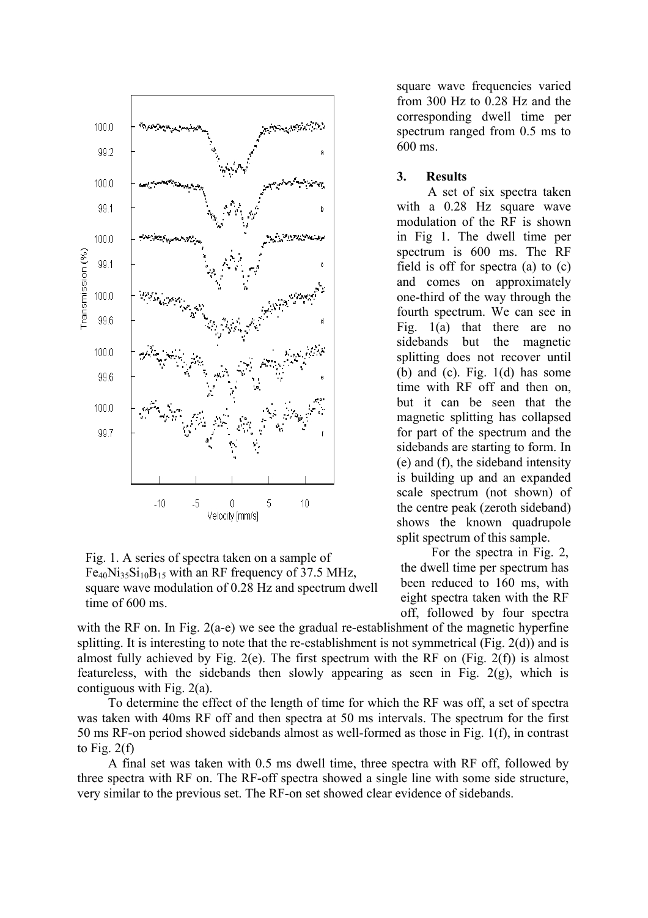

Fig. 1. A series of spectra taken on a sample of  $Fe_{40}Ni_{35}Si_{10}B_{15}$  with an RF frequency of 37.5 MHz, square wave modulation of 0.28 Hz and spectrum dwell time of 600 ms.

square wave frequencies varied from 300 Hz to 0.28 Hz and the corresponding dwell time per spectrum ranged from 0.5 ms to 600 ms.

## **3. Results**

A set of six spectra taken with a 0.28 Hz square wave modulation of the RF is shown in Fig 1. The dwell time per spectrum is 600 ms. The RF field is off for spectra (a) to (c) and comes on approximately one-third of the way through the fourth spectrum. We can see in Fig. 1(a) that there are no sidebands but the magnetic splitting does not recover until (b) and (c). Fig.  $1(d)$  has some time with RF off and then on, but it can be seen that the magnetic splitting has collapsed for part of the spectrum and the sidebands are starting to form. In (e) and (f), the sideband intensity is building up and an expanded scale spectrum (not shown) of the centre peak (zeroth sideband) shows the known quadrupole split spectrum of this sample.

For the spectra in Fig. 2, the dwell time per spectrum has been reduced to 160 ms, with eight spectra taken with the RF off, followed by four spectra

with the RF on. In Fig. 2(a-e) we see the gradual re-establishment of the magnetic hyperfine splitting. It is interesting to note that the re-establishment is not symmetrical (Fig. 2(d)) and is almost fully achieved by Fig. 2(e). The first spectrum with the RF on (Fig. 2(f)) is almost featureless, with the sidebands then slowly appearing as seen in Fig. 2(g), which is contiguous with Fig. 2(a).

To determine the effect of the length of time for which the RF was off, a set of spectra was taken with 40ms RF off and then spectra at 50 ms intervals. The spectrum for the first 50 ms RF-on period showed sidebands almost as well-formed as those in Fig. 1(f), in contrast to Fig.  $2(f)$ 

A final set was taken with 0.5 ms dwell time, three spectra with RF off, followed by three spectra with RF on. The RF-off spectra showed a single line with some side structure, very similar to the previous set. The RF-on set showed clear evidence of sidebands.